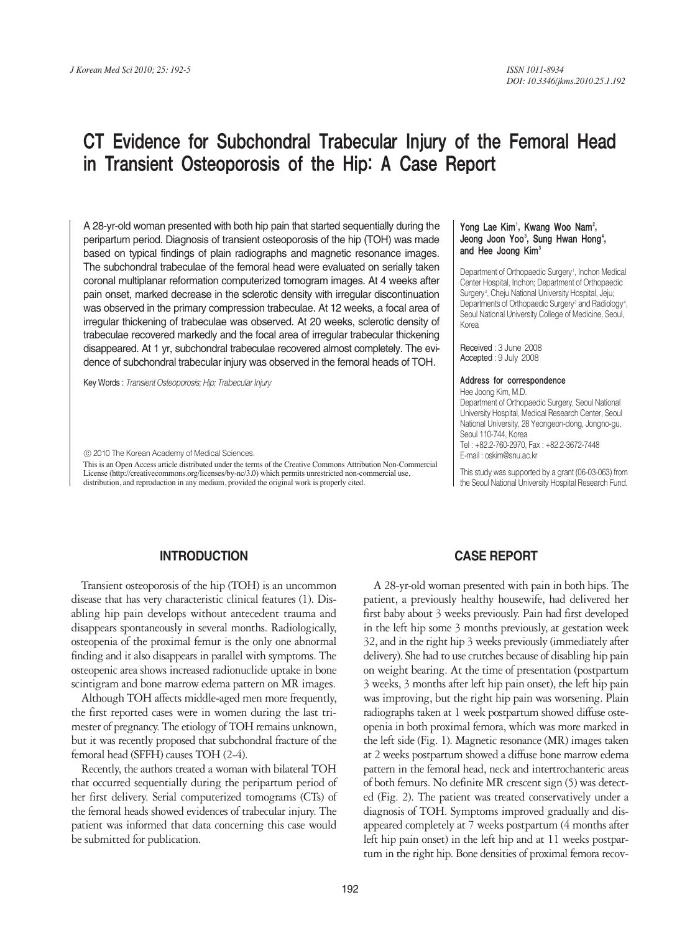# CT Evidence for Subchondral Trabecular Injury of the Femoral Head in Transient Osteoporosis of the Hip: A Case Report

A 28-yr-old woman presented with both hip pain that started sequentially during the peripartum period. Diagnosis of transient osteoporosis of the hip (TOH) was made based on typical findings of plain radiographs and magnetic resonance images. The subchondral trabeculae of the femoral head were evaluated on serially taken coronal multiplanar reformation computerized tomogram images. At 4 weeks after pain onset, marked decrease in the sclerotic density with irregular discontinuation was observed in the primary compression trabeculae. At 12 weeks, a focal area of irregular thickening of trabeculae was observed. At 20 weeks, sclerotic density of trabeculae recovered markedly and the focal area of irregular trabecular thickening disappeared. At 1 yr, subchondral trabeculae recovered almost completely. The evidence of subchondral trabecular injury was observed in the femoral heads of TOH.

Key Words : *Transient Osteoporosis; Hip; Trabecular Injury*

ⓒ 2010 The Korean Academy of Medical Sciences.

This is an Open Access article distributed under the terms of the Creative Commons Attribution Non-Commercial License (http://creativecommons.org/licenses/by-nc/3.0) which permits unrestricted non-commercial use, distribution, and reproduction in any medium, provided the original work is properly cited.

#### Yong Lae Kim<sup>1</sup>, Kwang Woo Nam<sup>2</sup>, Jeong Joon Yoo<sup>3</sup>, Sung Hwan Hong<sup>4</sup>, and Hee Joong Kim<sup>3</sup>

Department of Orthopaedic Surgery<sup>1</sup>, Inchon Medical Center Hospital, Inchon; Department of Orthopaedic Surgery<sup>2</sup>, Cheju National University Hospital, Jeju; Departments of Orthopaedic Surgery<sup>3</sup> and Radiology<sup>4</sup>, Seoul National University College of Medicine, Seoul, Korea

Received : 3 June 2008 Accepted : 9 July 2008

#### Address for correspondence

Hee Joong Kim, M.D. Department of Orthopaedic Surgery, Seoul National University Hospital, Medical Research Center, Seoul National University, 28 Yeongeon-dong, Jongno-gu, Seoul 110-744, Korea Tel : +82.2-760-2970, Fax : +82.2-3672-7448 E-mail : oskim@snu.ac.kr

This study was supported by a grant (06-03-063) from the Seoul National University Hospital Research Fund.

### **INTRODUCTION**

Transient osteoporosis of the hip (TOH) is an uncommon disease that has very characteristic clinical features (1). Disabling hip pain develops without antecedent trauma and disappears spontaneously in several months. Radiologically, osteopenia of the proximal femur is the only one abnormal finding and it also disappears in parallel with symptoms. The osteopenic area shows increased radionuclide uptake in bone scintigram and bone marrow edema pattern on MR images.

Although TOH affects middle-aged men more frequently, the first reported cases were in women during the last trimester of pregnancy. The etiology of TOH remains unknown, but it was recently proposed that subchondral fracture of the femoral head (SFFH) causes TOH (2-4).

Recently, the authors treated a woman with bilateral TOH that occurred sequentially during the peripartum period of her first delivery. Serial computerized tomograms (CTs) of the femoral heads showed evidences of trabecular injury. The patient was informed that data concerning this case would be submitted for publication.

#### **CASE REPORT**

A 28-yr-old woman presented with pain in both hips. The patient, a previously healthy housewife, had delivered her first baby about 3 weeks previously. Pain had first developed in the left hip some 3 months previously, at gestation week 32, and in the right hip 3 weeks previously (immediately after delivery). She had to use crutches because of disabling hip pain on weight bearing. At the time of presentation (postpartum 3 weeks, 3 months after left hip pain onset), the left hip pain was improving, but the right hip pain was worsening. Plain radiographs taken at 1 week postpartum showed diffuse osteopenia in both proximal femora, which was more marked in the left side (Fig. 1). Magnetic resonance (MR) images taken at 2 weeks postpartum showed a diffuse bone marrow edema pattern in the femoral head, neck and intertrochanteric areas of both femurs. No definite MR crescent sign (5) was detected (Fig. 2). The patient was treated conservatively under a diagnosis of TOH. Symptoms improved gradually and disappeared completely at 7 weeks postpartum (4 months after left hip pain onset) in the left hip and at 11 weeks postpartum in the right hip. Bone densities of proximal femora recov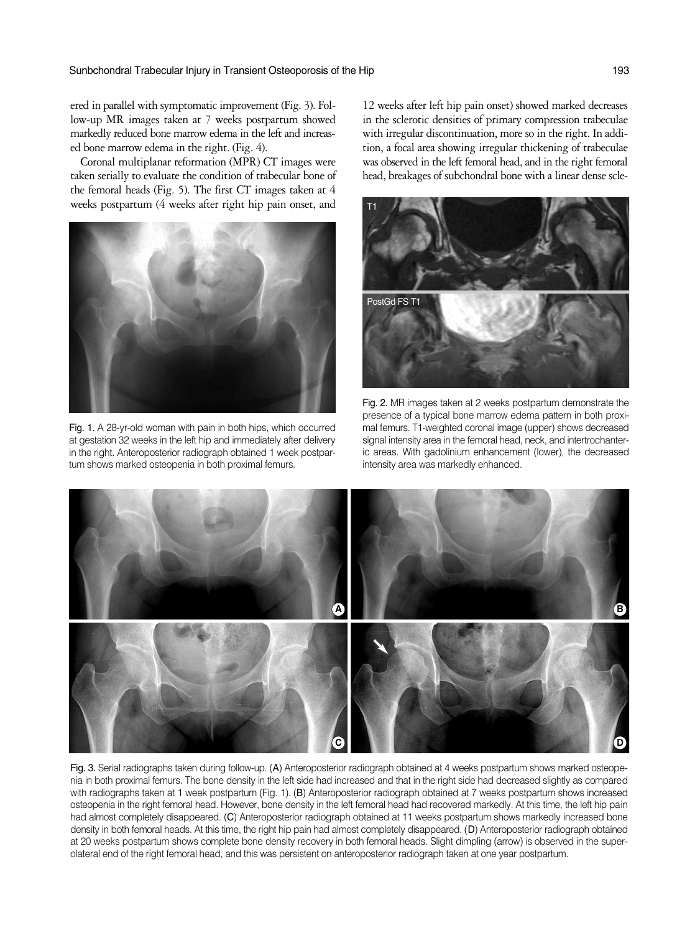ered in parallel with symptomatic improvement (Fig. 3). Follow-up MR images taken at 7 weeks postpartum showed markedly reduced bone marrow edema in the left and increased bone marrow edema in the right. (Fig. 4).

Coronal multiplanar reformation (MPR) CT images were taken serially to evaluate the condition of trabecular bone of the femoral heads (Fig. 5). The first CT images taken at 4 weeks postpartum (4 weeks after right hip pain onset, and



Fig. 1. A 28-yr-old woman with pain in both hips, which occurred at gestation 32 weeks in the left hip and immediately after delivery in the right. Anteroposterior radiograph obtained 1 week postpartum shows marked osteopenia in both proximal femurs.

12 weeks after left hip pain onset) showed marked decreases in the sclerotic densities of primary compression trabeculae with irregular discontinuation, more so in the right. In addition, a focal area showing irregular thickening of trabeculae was observed in the left femoral head, and in the right femoral head, breakages of subchondral bone with a linear dense scle-



Fig. 2. MR images taken at 2 weeks postpartum demonstrate the presence of a typical bone marrow edema pattern in both proximal femurs. T1-weighted coronal image (upper) shows decreased signal intensity area in the femoral head, neck, and intertrochanteric areas. With gadolinium enhancement (lower), the decreased intensity area was markedly enhanced.



Fig. 3. Serial radiographs taken during follow-up. (A) Anteroposterior radiograph obtained at 4 weeks postpartum shows marked osteopenia in both proximal femurs. The bone density in the left side had increased and that in the right side had decreased slightly as compared with radiographs taken at 1 week postpartum (Fig. 1). (B) Anteroposterior radiograph obtained at 7 weeks postpartum shows increased osteopenia in the right femoral head. However, bone density in the left femoral head had recovered markedly. At this time, the left hip pain had almost completely disappeared. (C) Anteroposterior radiograph obtained at 11 weeks postpartum shows markedly increased bone density in both femoral heads. At this time, the right hip pain had almost completely disappeared. (D) Anteroposterior radiograph obtained at 20 weeks postpartum shows complete bone density recovery in both femoral heads. Slight dimpling (arrow) is observed in the superolateral end of the right femoral head, and this was persistent on anteroposterior radiograph taken at one year postpartum.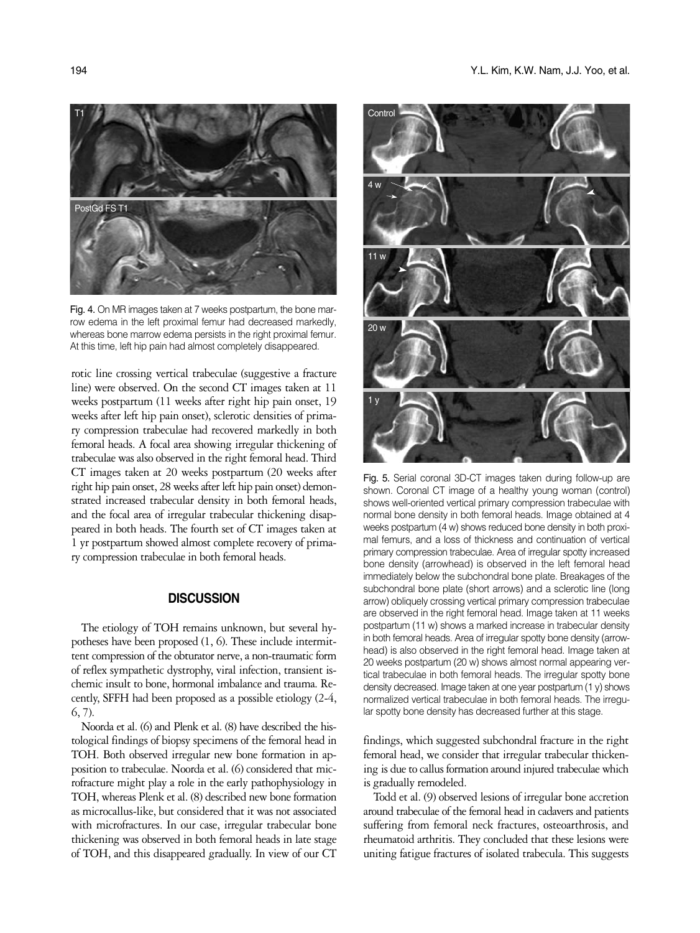

Fig. 4. On MR images taken at 7 weeks postpartum, the bone marrow edema in the left proximal femur had decreased markedly, whereas bone marrow edema persists in the right proximal femur. At this time, left hip pain had almost completely disappeared.

rotic line crossing vertical trabeculae (suggestive a fracture line) were observed. On the second CT images taken at 11 weeks postpartum (11 weeks after right hip pain onset, 19 weeks after left hip pain onset), sclerotic densities of primary compression trabeculae had recovered markedly in both femoral heads. A focal area showing irregular thickening of trabeculae was also observed in the right femoral head. Third CT images taken at 20 weeks postpartum (20 weeks after right hip pain onset, 28 weeks after left hip pain onset) demonstrated increased trabecular density in both femoral heads, and the focal area of irregular trabecular thickening disappeared in both heads. The fourth set of CT images taken at 1 yr postpartum showed almost complete recovery of primary compression trabeculae in both femoral heads.

## **DISCUSSION**

The etiology of TOH remains unknown, but several hypotheses have been proposed (1, 6). These include intermittent compression of the obturator nerve, a non-traumatic form of reflex sympathetic dystrophy, viral infection, transient ischemic insult to bone, hormonal imbalance and trauma. Recently, SFFH had been proposed as a possible etiology (2-4, 6, 7).

Noorda et al. (6) and Plenk et al. (8) have described the histological findings of biopsy specimens of the femoral head in TOH. Both observed irregular new bone formation in apposition to trabeculae. Noorda et al. (6) considered that microfracture might play a role in the early pathophysiology in TOH, whereas Plenk et al. (8) described new bone formation as microcallus-like, but considered that it was not associated with microfractures. In our case, irregular trabecular bone thickening was observed in both femoral heads in late stage of TOH, and this disappeared gradually. In view of our CT



Fig. 5. Serial coronal 3D-CT images taken during follow-up are shown. Coronal CT image of a healthy young woman (control) shows well-oriented vertical primary compression trabeculae with normal bone density in both femoral heads. Image obtained at 4 weeks postpartum (4 w) shows reduced bone density in both proximal femurs, and a loss of thickness and continuation of vertical primary compression trabeculae. Area of irregular spotty increased bone density (arrowhead) is observed in the left femoral head immediately below the subchondral bone plate. Breakages of the subchondral bone plate (short arrows) and a sclerotic line (long arrow) obliquely crossing vertical primary compression trabeculae are observed in the right femoral head. Image taken at 11 weeks postpartum (11 w) shows a marked increase in trabecular density in both femoral heads. Area of irregular spotty bone density (arrowhead) is also observed in the right femoral head. Image taken at 20 weeks postpartum (20 w) shows almost normal appearing vertical trabeculae in both femoral heads. The irregular spotty bone density decreased. Image taken at one year postpartum (1 y) shows normalized vertical trabeculae in both femoral heads. The irregular spotty bone density has decreased further at this stage.

findings, which suggested subchondral fracture in the right femoral head, we consider that irregular trabecular thickening is due to callus formation around injured trabeculae which is gradually remodeled.

Todd et al. (9) observed lesions of irregular bone accretion around trabeculae of the femoral head in cadavers and patients suffering from femoral neck fractures, osteoarthrosis, and rheumatoid arthritis. They concluded that these lesions were uniting fatigue fractures of isolated trabecula. This suggests